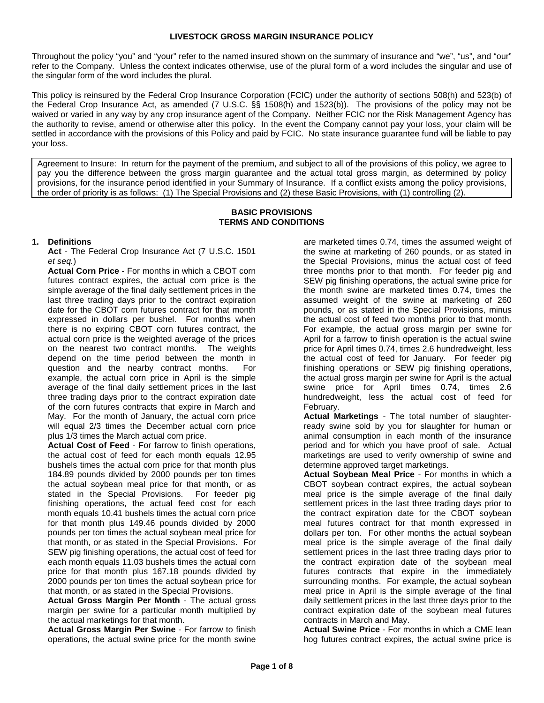Throughout the policy "you" and "your" refer to the named insured shown on the summary of insurance and "we", "us", and "our" refer to the Company. Unless the context indicates otherwise, use of the plural form of a word includes the singular and use of the singular form of the word includes the plural.

This policy is reinsured by the Federal Crop Insurance Corporation (FCIC) under the authority of sections 508(h) and 523(b) of the Federal Crop Insurance Act, as amended (7 U.S.C. §§ 1508(h) and 1523(b)). The provisions of the policy may not be waived or varied in any way by any crop insurance agent of the Company. Neither FCIC nor the Risk Management Agency has the authority to revise, amend or otherwise alter this policy. In the event the Company cannot pay your loss, your claim will be settled in accordance with the provisions of this Policy and paid by FCIC. No state insurance guarantee fund will be liable to pay your loss.

Agreement to Insure: In return for the payment of the premium, and subject to all of the provisions of this policy, we agree to pay you the difference between the gross margin guarantee and the actual total gross margin, as determined by policy provisions, for the insurance period identified in your Summary of Insurance. If a conflict exists among the policy provisions, the order of priority is as follows: (1) The Special Provisions and (2) these Basic Provisions, with (1) controlling (2).

#### **BASIC PROVISIONS TERMS AND CONDITIONS**

# **1. Definitions**

**Act** - The Federal Crop Insurance Act (7 U.S.C. 1501 et seq.)

**Actual Corn Price** - For months in which a CBOT corn futures contract expires, the actual corn price is the simple average of the final daily settlement prices in the last three trading days prior to the contract expiration date for the CBOT corn futures contract for that month expressed in dollars per bushel. For months when there is no expiring CBOT corn futures contract, the actual corn price is the weighted average of the prices on the nearest two contract months. The weights depend on the time period between the month in question and the nearby contract months. For example, the actual corn price in April is the simple average of the final daily settlement prices in the last three trading days prior to the contract expiration date of the corn futures contracts that expire in March and May. For the month of January, the actual corn price will equal 2/3 times the December actual corn price plus 1/3 times the March actual corn price.

**Actual Cost of Feed** - For farrow to finish operations, the actual cost of feed for each month equals 12.95 bushels times the actual corn price for that month plus 184.89 pounds divided by 2000 pounds per ton times the actual soybean meal price for that month, or as stated in the Special Provisions. For feeder pig finishing operations, the actual feed cost for each month equals 10.41 bushels times the actual corn price for that month plus 149.46 pounds divided by 2000 pounds per ton times the actual soybean meal price for that month, or as stated in the Special Provisions. For SEW pig finishing operations, the actual cost of feed for each month equals 11.03 bushels times the actual corn price for that month plus 167.18 pounds divided by 2000 pounds per ton times the actual soybean price for that month, or as stated in the Special Provisions.

**Actual Gross Margin Per Month** - The actual gross margin per swine for a particular month multiplied by the actual marketings for that month.

**Actual Gross Margin Per Swine** - For farrow to finish operations, the actual swine price for the month swine

are marketed times 0.74, times the assumed weight of the swine at marketing of 260 pounds, or as stated in the Special Provisions, minus the actual cost of feed three months prior to that month. For feeder pig and SEW pig finishing operations, the actual swine price for the month swine are marketed times 0.74, times the assumed weight of the swine at marketing of 260 pounds, or as stated in the Special Provisions, minus the actual cost of feed two months prior to that month. For example, the actual gross margin per swine for April for a farrow to finish operation is the actual swine price for April times 0.74, times 2.6 hundredweight, less the actual cost of feed for January. For feeder pig finishing operations or SEW pig finishing operations, the actual gross margin per swine for April is the actual swine price for April times 0.74, times 2.6 hundredweight, less the actual cost of feed for February.

**Actual Marketings** - The total number of slaughterready swine sold by you for slaughter for human or animal consumption in each month of the insurance period and for which you have proof of sale. Actual marketings are used to verify ownership of swine and determine approved target marketings.

**Actual Soybean Meal Price** - For months in which a CBOT soybean contract expires, the actual soybean meal price is the simple average of the final daily settlement prices in the last three trading days prior to the contract expiration date for the CBOT soybean meal futures contract for that month expressed in dollars per ton. For other months the actual soybean meal price is the simple average of the final daily settlement prices in the last three trading days prior to the contract expiration date of the soybean meal futures contracts that expire in the immediately surrounding months. For example, the actual soybean meal price in April is the simple average of the final daily settlement prices in the last three days prior to the contract expiration date of the soybean meal futures contracts in March and May.

**Actual Swine Price** - For months in which a CME lean hog futures contract expires, the actual swine price is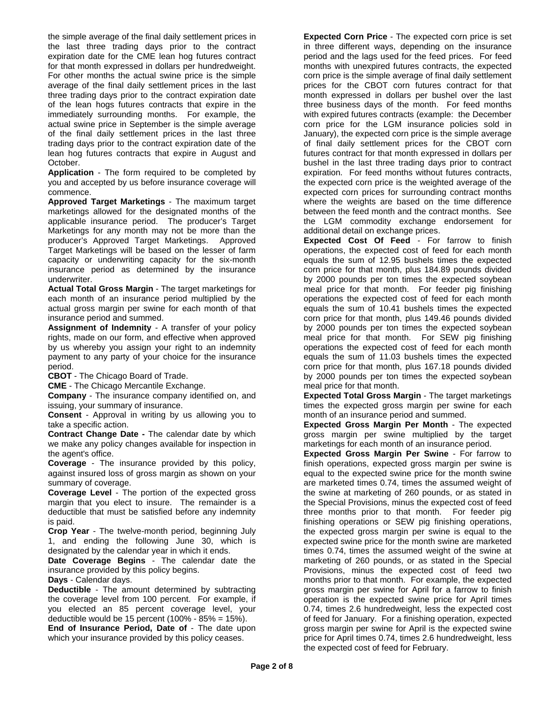the simple average of the final daily settlement prices in the last three trading days prior to the contract expiration date for the CME lean hog futures contract for that month expressed in dollars per hundredweight. For other months the actual swine price is the simple average of the final daily settlement prices in the last three trading days prior to the contract expiration date of the lean hogs futures contracts that expire in the immediately surrounding months. For example, the actual swine price in September is the simple average of the final daily settlement prices in the last three trading days prior to the contract expiration date of the lean hog futures contracts that expire in August and October.

**Application** - The form required to be completed by you and accepted by us before insurance coverage will commence.

**Approved Target Marketings** - The maximum target marketings allowed for the designated months of the applicable insurance period. The producer's Target Marketings for any month may not be more than the producer's Approved Target Marketings. Approved Target Marketings will be based on the lesser of farm capacity or underwriting capacity for the six-month insurance period as determined by the insurance underwriter.

**Actual Total Gross Margin** - The target marketings for each month of an insurance period multiplied by the actual gross margin per swine for each month of that insurance period and summed.

**Assignment of Indemnity** - A transfer of your policy rights, made on our form, and effective when approved by us whereby you assign your right to an indemnity payment to any party of your choice for the insurance period.

**CBOT** - The Chicago Board of Trade.

**CME** - The Chicago Mercantile Exchange.

**Company** - The insurance company identified on, and issuing, your summary of insurance.

**Consent** - Approval in writing by us allowing you to take a specific action.

**Contract Change Date -** The calendar date by which we make any policy changes available for inspection in the agent's office.

**Coverage** - The insurance provided by this policy, against insured loss of gross margin as shown on your summary of coverage.

**Coverage Level** - The portion of the expected gross margin that you elect to insure. The remainder is a deductible that must be satisfied before any indemnity is paid.

**Crop Year** - The twelve-month period, beginning July 1, and ending the following June 30, which is designated by the calendar year in which it ends.

**Date Coverage Begins** - The calendar date the insurance provided by this policy begins.

**Days** - Calendar days.

**Deductible** - The amount determined by subtracting the coverage level from 100 percent. For example, if you elected an 85 percent coverage level, your deductible would be 15 percent (100% - 85% = 15%).

**End of Insurance Period, Date of** - The date upon which your insurance provided by this policy ceases.

**Expected Corn Price** - The expected corn price is set in three different ways, depending on the insurance period and the lags used for the feed prices. For feed months with unexpired futures contracts, the expected corn price is the simple average of final daily settlement prices for the CBOT corn futures contract for that month expressed in dollars per bushel over the last three business days of the month. For feed months with expired futures contracts (example: the December corn price for the LGM insurance policies sold in January), the expected corn price is the simple average of final daily settlement prices for the CBOT corn futures contract for that month expressed in dollars per bushel in the last three trading days prior to contract expiration. For feed months without futures contracts, the expected corn price is the weighted average of the expected corn prices for surrounding contract months where the weights are based on the time difference between the feed month and the contract months. See the LGM commodity exchange endorsement for additional detail on exchange prices.

**Expected Cost Of Feed** - For farrow to finish operations, the expected cost of feed for each month equals the sum of 12.95 bushels times the expected corn price for that month, plus 184.89 pounds divided by 2000 pounds per ton times the expected soybean meal price for that month. For feeder pig finishing operations the expected cost of feed for each month equals the sum of 10.41 bushels times the expected corn price for that month, plus 149.46 pounds divided by 2000 pounds per ton times the expected soybean meal price for that month. For SEW pig finishing operations the expected cost of feed for each month equals the sum of 11.03 bushels times the expected corn price for that month, plus 167.18 pounds divided by 2000 pounds per ton times the expected soybean meal price for that month.

**Expected Total Gross Margin** - The target marketings times the expected gross margin per swine for each month of an insurance period and summed.

**Expected Gross Margin Per Month** - The expected gross margin per swine multiplied by the target marketings for each month of an insurance period.

**Expected Gross Margin Per Swine** - For farrow to finish operations, expected gross margin per swine is equal to the expected swine price for the month swine are marketed times 0.74, times the assumed weight of the swine at marketing of 260 pounds, or as stated in the Special Provisions, minus the expected cost of feed three months prior to that month. For feeder pig finishing operations or SEW pig finishing operations, the expected gross margin per swine is equal to the expected swine price for the month swine are marketed times 0.74, times the assumed weight of the swine at marketing of 260 pounds, or as stated in the Special Provisions, minus the expected cost of feed two months prior to that month. For example, the expected gross margin per swine for April for a farrow to finish operation is the expected swine price for April times 0.74, times 2.6 hundredweight, less the expected cost of feed for January. For a finishing operation, expected gross margin per swine for April is the expected swine price for April times 0.74, times 2.6 hundredweight, less the expected cost of feed for February.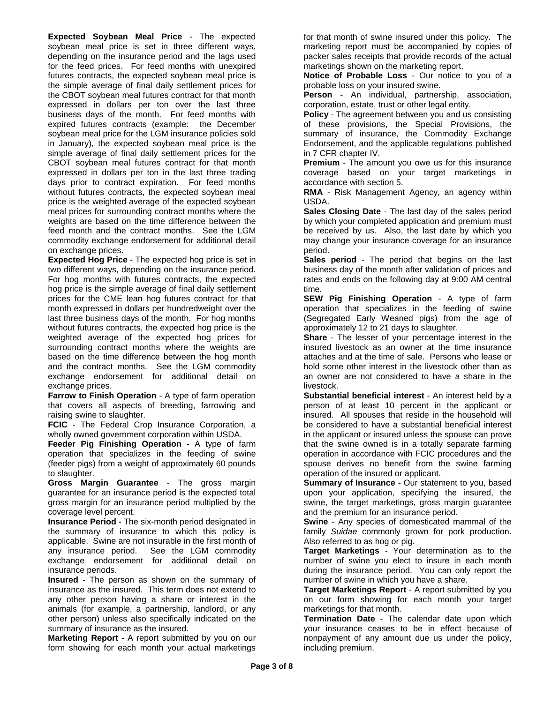**Expected Soybean Meal Price** - The expected soybean meal price is set in three different ways, depending on the insurance period and the lags used for the feed prices. For feed months with unexpired futures contracts, the expected soybean meal price is the simple average of final daily settlement prices for the CBOT soybean meal futures contract for that month expressed in dollars per ton over the last three business days of the month. For feed months with expired futures contracts (example: the December soybean meal price for the LGM insurance policies sold in January), the expected soybean meal price is the simple average of final daily settlement prices for the CBOT soybean meal futures contract for that month expressed in dollars per ton in the last three trading days prior to contract expiration. For feed months without futures contracts, the expected soybean meal price is the weighted average of the expected soybean meal prices for surrounding contract months where the weights are based on the time difference between the feed month and the contract months. See the LGM commodity exchange endorsement for additional detail on exchange prices.

**Expected Hog Price** - The expected hog price is set in two different ways, depending on the insurance period. For hog months with futures contracts, the expected hog price is the simple average of final daily settlement prices for the CME lean hog futures contract for that month expressed in dollars per hundredweight over the last three business days of the month. For hog months without futures contracts, the expected hog price is the weighted average of the expected hog prices for surrounding contract months where the weights are based on the time difference between the hog month and the contract months. See the LGM commodity exchange endorsement for additional detail on exchange prices.

**Farrow to Finish Operation** - A type of farm operation that covers all aspects of breeding, farrowing and raising swine to slaughter.

**FCIC** - The Federal Crop Insurance Corporation, a wholly owned government corporation within USDA.

**Feeder Pig Finishing Operation** - A type of farm operation that specializes in the feeding of swine (feeder pigs) from a weight of approximately 60 pounds to slaughter.

**Gross Margin Guarantee** - The gross margin guarantee for an insurance period is the expected total gross margin for an insurance period multiplied by the coverage level percent.

**Insurance Period** - The six-month period designated in the summary of insurance to which this policy is applicable. Swine are not insurable in the first month of any insurance period. See the LGM commodity exchange endorsement for additional detail on insurance periods.

**Insured** - The person as shown on the summary of insurance as the insured. This term does not extend to any other person having a share or interest in the animals (for example, a partnership, landlord, or any other person) unless also specifically indicated on the summary of insurance as the insured.

**Marketing Report** - A report submitted by you on our form showing for each month your actual marketings

for that month of swine insured under this policy. The marketing report must be accompanied by copies of packer sales receipts that provide records of the actual marketings shown on the marketing report.

**Notice of Probable Loss** - Our notice to you of a probable loss on your insured swine.

**Person** - An individual, partnership, association, corporation, estate, trust or other legal entity.

**Policy** - The agreement between you and us consisting of these provisions, the Special Provisions, the summary of insurance, the Commodity Exchange Endorsement, and the applicable regulations published in 7 CFR chapter IV.

**Premium** - The amount you owe us for this insurance coverage based on your target marketings in accordance with section 5.

**RMA** - Risk Management Agency, an agency within USDA.

**Sales Closing Date** - The last day of the sales period by which your completed application and premium must be received by us. Also, the last date by which you may change your insurance coverage for an insurance period.

**Sales period** - The period that begins on the last business day of the month after validation of prices and rates and ends on the following day at 9:00 AM central time.

**SEW Pig Finishing Operation** - A type of farm operation that specializes in the feeding of swine (Segregated Early Weaned pigs) from the age of approximately 12 to 21 days to slaughter.

**Share** - The lesser of your percentage interest in the insured livestock as an owner at the time insurance attaches and at the time of sale. Persons who lease or hold some other interest in the livestock other than as an owner are not considered to have a share in the livestock.

**Substantial beneficial interest** - An interest held by a person of at least 10 percent in the applicant or insured. All spouses that reside in the household will be considered to have a substantial beneficial interest in the applicant or insured unless the spouse can prove that the swine owned is in a totally separate farming operation in accordance with FCIC procedures and the spouse derives no benefit from the swine farming operation of the insured or applicant.

**Summary of Insurance** - Our statement to you, based upon your application, specifying the insured, the swine, the target marketings, gross margin guarantee and the premium for an insurance period.

**Swine** - Any species of domesticated mammal of the family Suidae commonly grown for pork production. Also referred to as hog or pig.

**Target Marketings** - Your determination as to the number of swine you elect to insure in each month during the insurance period. You can only report the number of swine in which you have a share.

**Target Marketings Report** - A report submitted by you on our form showing for each month your target marketings for that month.

**Termination Date** - The calendar date upon which your insurance ceases to be in effect because of nonpayment of any amount due us under the policy, including premium.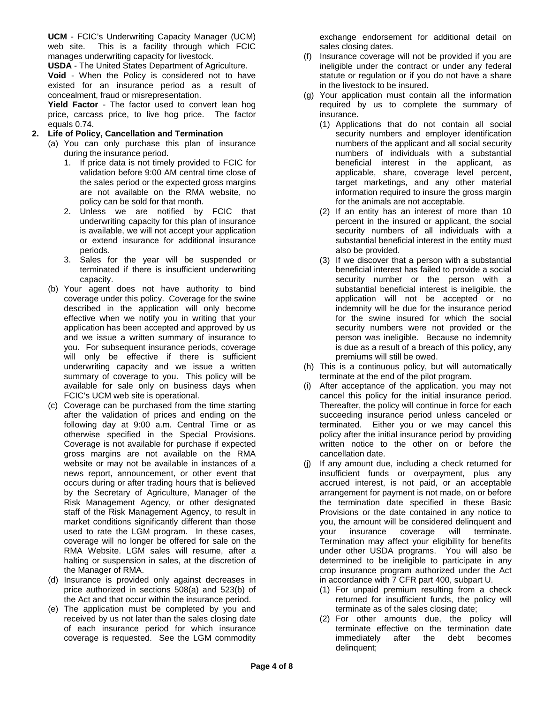**UCM** - FCIC's Underwriting Capacity Manager (UCM) web site. This is a facility through which FCIC manages underwriting capacity for livestock.

**USDA** - The United States Department of Agriculture.

**Void** - When the Policy is considered not to have existed for an insurance period as a result of concealment, fraud or misrepresentation.

**Yield Factor** - The factor used to convert lean hog price, carcass price, to live hog price. The factor equals 0.74.

### **2. Life of Policy, Cancellation and Termination**

- (a) You can only purchase this plan of insurance during the insurance period.
	- 1. If price data is not timely provided to FCIC for validation before 9:00 AM central time close of the sales period or the expected gross margins are not available on the RMA website, no policy can be sold for that month.
	- 2. Unless we are notified by FCIC that underwriting capacity for this plan of insurance is available, we will not accept your application or extend insurance for additional insurance periods.
	- 3. Sales for the year will be suspended or terminated if there is insufficient underwriting capacity.
- (b) Your agent does not have authority to bind coverage under this policy. Coverage for the swine described in the application will only become effective when we notify you in writing that your application has been accepted and approved by us and we issue a written summary of insurance to you. For subsequent insurance periods, coverage will only be effective if there is sufficient underwriting capacity and we issue a written summary of coverage to you. This policy will be available for sale only on business days when FCIC's UCM web site is operational.
- (c) Coverage can be purchased from the time starting after the validation of prices and ending on the following day at 9:00 a.m. Central Time or as otherwise specified in the Special Provisions. Coverage is not available for purchase if expected gross margins are not available on the RMA website or may not be available in instances of a news report, announcement, or other event that occurs during or after trading hours that is believed by the Secretary of Agriculture, Manager of the Risk Management Agency, or other designated staff of the Risk Management Agency, to result in market conditions significantly different than those used to rate the LGM program. In these cases, coverage will no longer be offered for sale on the RMA Website. LGM sales will resume, after a halting or suspension in sales, at the discretion of the Manager of RMA.
- (d) Insurance is provided only against decreases in price authorized in sections 508(a) and 523(b) of the Act and that occur within the insurance period.
- (e) The application must be completed by you and received by us not later than the sales closing date of each insurance period for which insurance coverage is requested. See the LGM commodity

exchange endorsement for additional detail on sales closing dates.

- (f) Insurance coverage will not be provided if you are ineligible under the contract or under any federal statute or regulation or if you do not have a share in the livestock to be insured.
- (g) Your application must contain all the information required by us to complete the summary of insurance.
	- (1) Applications that do not contain all social security numbers and employer identification numbers of the applicant and all social security numbers of individuals with a substantial beneficial interest in the applicant, as applicable, share, coverage level percent, target marketings, and any other material information required to insure the gross margin for the animals are not acceptable.
	- (2) If an entity has an interest of more than 10 percent in the insured or applicant, the social security numbers of all individuals with a substantial beneficial interest in the entity must also be provided.
	- (3) If we discover that a person with a substantial beneficial interest has failed to provide a social security number or the person with a substantial beneficial interest is ineligible, the application will not be accepted or no indemnity will be due for the insurance period for the swine insured for which the social security numbers were not provided or the person was ineligible. Because no indemnity is due as a result of a breach of this policy, any premiums will still be owed.
- (h) This is a continuous policy, but will automatically terminate at the end of the pilot program.
- (i) After acceptance of the application, you may not cancel this policy for the initial insurance period. Thereafter, the policy will continue in force for each succeeding insurance period unless canceled or terminated. Either you or we may cancel this policy after the initial insurance period by providing written notice to the other on or before the cancellation date.
- (j) If any amount due, including a check returned for insufficient funds or overpayment, plus any accrued interest, is not paid, or an acceptable arrangement for payment is not made, on or before the termination date specified in these Basic Provisions or the date contained in any notice to you, the amount will be considered delinquent and your insurance coverage will terminate. Termination may affect your eligibility for benefits under other USDA programs. You will also be determined to be ineligible to participate in any crop insurance program authorized under the Act in accordance with 7 CFR part 400, subpart U.
	- (1) For unpaid premium resulting from a check returned for insufficient funds, the policy will terminate as of the sales closing date;
	- (2) For other amounts due, the policy will terminate effective on the termination date immediately after the debt becomes delinquent;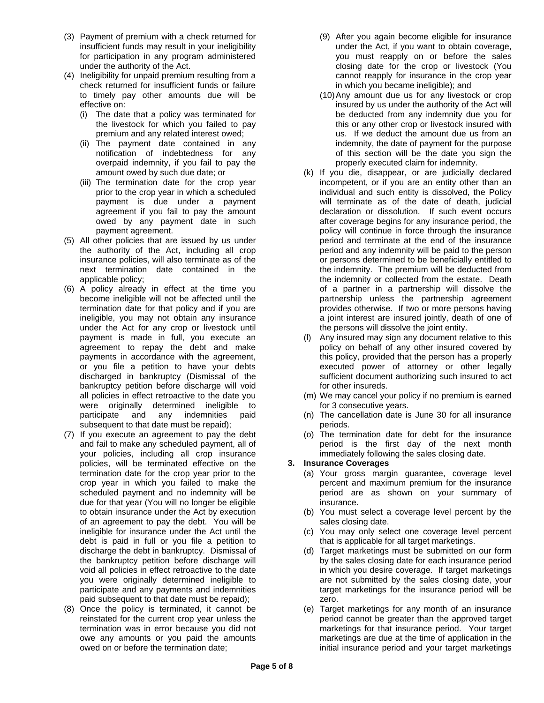- (3) Payment of premium with a check returned for (9) After you again become eligible for insurance
- (4) Ineligibility for unpaid premium resulting from a cannot reapply for insurance in the crop year check returned for insufficient funds or failure in which you became ineligible); and
	-
	- overpaid indemnity, if you fail to pay the properly executed claim for indemnity.
	-
- 
- under the Act for any crop or livestock until the persons will dissolve the joint entity. bankruptcy petition before discharge will void for other insureds. were originally determined ineligible to for 3 consecutive years. subsequent to that date must be repaid); example in the periods.
- your policies, including all crop insurance immediately following the sales closing date. policies, will be terminated effective on the **3. Insurance Coverages**  due for that year (You will no longer be eligible insurance. of an agreement to pay the debt. You will be sales closing date. debt is paid in full or you file a petition to that is applicable for all target marketings. paid subsequent to that date must be repaid); example all the sero.
- 
- insufficient funds may result in your ineligibility under the Act, if you want to obtain coverage, for participation in any program administered **you must reapply on or before the sales** under the authority of the Act. The closing date for the crop or livestock (You
- to timely pay other amounts due will be (10)Any amount due us for any livestock or crop effective on: insured by us under the authority of the Act will (i) The date that a policy was terminated for be deducted from any indemnity due you for the livestock for which you failed to pay this or any other crop or livestock insured with premium and any related interest owed; us. If we deduct the amount due us from an (ii) The payment date contained in any indemnity, the date of payment for the purpose<br>notification of indebtedness for any of this section will be the date you sign the of this section will be the date you sign the
- amount owed by such due date; or (k) If you die, disappear, or are judicially declared (iii) The termination date for the crop year incompetent, or if you are an entity other than an prior to the crop year in which a scheduled individual and such entity is dissolved, the Policy payment is due under a payment will terminate as of the date of death, judicial agreement if you fail to pay the amount declaration or dissolution. If such event occurs owed by any payment date in such after coverage begins for any insurance period, the payment agreement. **policy will continue in force through the insurance** (5) All other policies that are issued by us under period and terminate at the end of the insurance the authority of the Act, including all crop period and any indemnity will be paid to the person insurance policies, will also terminate as of the or persons determined to be beneficially entitled to next termination date contained in the the indemnity. The premium will be deducted from applicable policy; the indemnity or collected from the estate. Death (6) A policy already in effect at the time you of a partner in a partnership will dissolve the become ineligible will not be affected until the partnership unless the partnership agreement termination date for that policy and if you are **provides otherwise.** If two or more persons having ineligible, you may not obtain any insurance a same a joint interest are insured jointly, death of one of
	- payment is made in full, you execute an (l) Any insured may sign any document relative to this agreement to repay the debt and make policy on behalf of any other insured covered by payments in accordance with the agreement, this policy, provided that the person has a properly this policy, provided that the person has a properly or you file a petition to have your debts executed power of attorney or other legally discharged in bankruptcy (Dismissal of the sufficient document authorizing such insured to act
	- all policies in effect retroactive to the date you (m) We may cancel your policy if no premium is earned
	- participate and any indemnities paid (n) The cancellation date is June 30 for all insurance
- (7) If you execute an agreement to pay the debt (o) The termination date for debt for the insurance and fail to make any scheduled payment, all of period is the first day of the next month

- termination date for the crop year prior to the (a) Your gross margin guarantee, coverage level crop year in which you failed to make the percent and maximum premium for the insurance scheduled payment and no indemnity will be period are as shown on your summary of
- to obtain insurance under the Act by execution (b) You must select a coverage level percent by the
- ineligible for insurance under the Act until the (c) You may only select one coverage level percent
- discharge the debt in bankruptcy. Dismissal of (d) Target marketings must be submitted on our form the bankruptcy petition before discharge will by the sales closing date for each insurance period void all policies in effect retroactive to the date in which you desire coverage. If target marketings you were originally determined ineligible to are not submitted by the sales closing date, your participate and any payments and indemnities target marketings for the insurance period will be
- (8) Once the policy is terminated, it cannot be (e) Target marketings for any month of an insurance reinstated for the current crop year unless the period cannot be greater than the approved target termination was in error because you did not marketings for that insurance period. Your target owe any amounts or you paid the amounts marketings are due at the time of application in the owed on or before the termination date; initial insurance period and your target marketings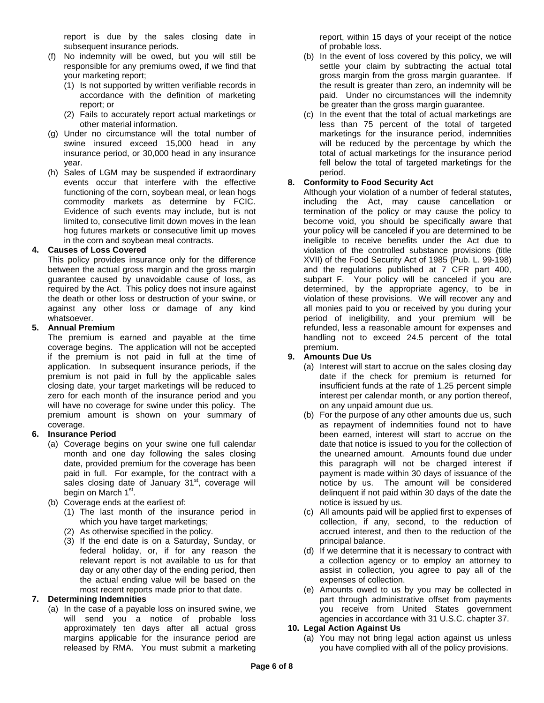report is due by the sales closing date in subsequent insurance periods.

- (f) No indemnity will be owed, but you will still be responsible for any premiums owed, if we find that your marketing report;
	- (1) Is not supported by written verifiable records in accordance with the definition of marketing report; or
	- (2) Fails to accurately report actual marketings or other material information.
- (g) Under no circumstance will the total number of swine insured exceed 15,000 head in any insurance period, or 30,000 head in any insurance year.
- (h) Sales of LGM may be suspended if extraordinary events occur that interfere with the effective functioning of the corn, soybean meal, or lean hogs commodity markets as determine by FCIC. Evidence of such events may include, but is not limited to, consecutive limit down moves in the lean hog futures markets or consecutive limit up moves in the corn and soybean meal contracts.

# **4. Causes of Loss Covered**

This policy provides insurance only for the difference between the actual gross margin and the gross margin guarantee caused by unavoidable cause of loss, as required by the Act. This policy does not insure against the death or other loss or destruction of your swine, or against any other loss or damage of any kind whatsoever.

### **5. Annual Premium**

The premium is earned and payable at the time coverage begins. The application will not be accepted if the premium is not paid in full at the time of application. In subsequent insurance periods, if the premium is not paid in full by the applicable sales closing date, your target marketings will be reduced to zero for each month of the insurance period and you will have no coverage for swine under this policy. The premium amount is shown on your summary of coverage.

### **6. Insurance Period**

- (a) Coverage begins on your swine one full calendar month and one day following the sales closing date, provided premium for the coverage has been paid in full. For example, for the contract with a sales closing date of January  $31<sup>st</sup>$ , coverage will begin on March 1<sup>st</sup>.
- (b) Coverage ends at the earliest of:
	- (1) The last month of the insurance period in which you have target marketings;
	- (2) As otherwise specified in the policy.
	- (3) If the end date is on a Saturday, Sunday, or federal holiday, or, if for any reason the relevant report is not available to us for that day or any other day of the ending period, then the actual ending value will be based on the most recent reports made prior to that date.

### **7. Determining Indemnities**

(a) In the case of a payable loss on insured swine, we will send you a notice of probable loss approximately ten days after all actual gross margins applicable for the insurance period are released by RMA. You must submit a marketing report, within 15 days of your receipt of the notice of probable loss.

- (b) In the event of loss covered by this policy, we will settle your claim by subtracting the actual total gross margin from the gross margin guarantee. If the result is greater than zero, an indemnity will be paid. Under no circumstances will the indemnity be greater than the gross margin guarantee.
- (c) In the event that the total of actual marketings are less than 75 percent of the total of targeted marketings for the insurance period, indemnities will be reduced by the percentage by which the total of actual marketings for the insurance period fell below the total of targeted marketings for the period.

# **8. Conformity to Food Security Act**

Although your violation of a number of federal statutes, including the Act, may cause cancellation or termination of the policy or may cause the policy to become void, you should be specifically aware that your policy will be canceled if you are determined to be ineligible to receive benefits under the Act due to violation of the controlled substance provisions (title XVII) of the Food Security Act of 1985 (Pub. L. 99-198) and the regulations published at 7 CFR part 400, subpart F. Your policy will be canceled if you are determined, by the appropriate agency, to be in violation of these provisions. We will recover any and all monies paid to you or received by you during your period of ineligibility, and your premium will be refunded, less a reasonable amount for expenses and handling not to exceed 24.5 percent of the total premium.

# **9. Amounts Due Us**

- (a) Interest will start to accrue on the sales closing day date if the check for premium is returned for insufficient funds at the rate of 1.25 percent simple interest per calendar month, or any portion thereof, on any unpaid amount due us.
- (b) For the purpose of any other amounts due us, such as repayment of indemnities found not to have been earned, interest will start to accrue on the date that notice is issued to you for the collection of the unearned amount. Amounts found due under this paragraph will not be charged interest if payment is made within 30 days of issuance of the notice by us. The amount will be considered delinquent if not paid within 30 days of the date the notice is issued by us.
- (c) All amounts paid will be applied first to expenses of collection, if any, second, to the reduction of accrued interest, and then to the reduction of the principal balance.
- (d) If we determine that it is necessary to contract with a collection agency or to employ an attorney to assist in collection, you agree to pay all of the expenses of collection.
- (e) Amounts owed to us by you may be collected in part through administrative offset from payments you receive from United States government agencies in accordance with 31 U.S.C. chapter 37.

### **10. Legal Action Against Us**

(a) You may not bring legal action against us unless you have complied with all of the policy provisions.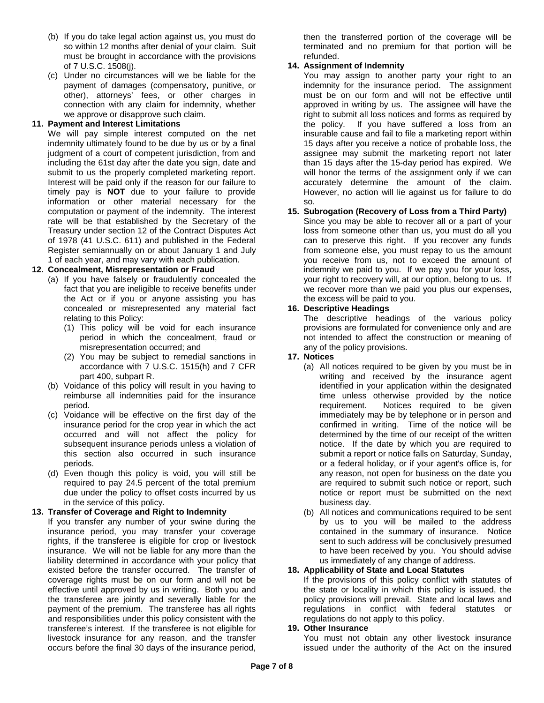- (b) If you do take legal action against us, you must do so within 12 months after denial of your claim. Suit must be brought in accordance with the provisions of 7 U.S.C. 1508(j).
- (c) Under no circumstances will we be liable for the payment of damages (compensatory, punitive, or other), attorneys' fees, or other charges in connection with any claim for indemnity, whether we approve or disapprove such claim.

# **11. Payment and Interest Limitations**

We will pay simple interest computed on the net indemnity ultimately found to be due by us or by a final judgment of a court of competent jurisdiction, from and including the 61st day after the date you sign, date and submit to us the properly completed marketing report. Interest will be paid only if the reason for our failure to timely pay is **NOT** due to your failure to provide information or other material necessary for the computation or payment of the indemnity. The interest rate will be that established by the Secretary of the Treasury under section 12 of the Contract Disputes Act of 1978 (41 U.S.C. 611) and published in the Federal Register semiannually on or about January 1 and July 1 of each year, and may vary with each publication.

# **12. Concealment, Misrepresentation or Fraud**

- (a) If you have falsely or fraudulently concealed the fact that you are ineligible to receive benefits under the Act or if you or anyone assisting you has concealed or misrepresented any material fact relating to this Policy:
	- (1) This policy will be void for each insurance period in which the concealment, fraud or misrepresentation occurred; and
	- (2) You may be subject to remedial sanctions in accordance with 7 U.S.C. 1515(h) and 7 CFR part 400, subpart R.
- (b) Voidance of this policy will result in you having to reimburse all indemnities paid for the insurance period.
- (c) Voidance will be effective on the first day of the insurance period for the crop year in which the act occurred and will not affect the policy for subsequent insurance periods unless a violation of this section also occurred in such insurance periods.
- (d) Even though this policy is void, you will still be required to pay 24.5 percent of the total premium due under the policy to offset costs incurred by us in the service of this policy.

### **13. Transfer of Coverage and Right to Indemnity**

If you transfer any number of your swine during the insurance period, you may transfer your coverage rights, if the transferee is eligible for crop or livestock insurance. We will not be liable for any more than the liability determined in accordance with your policy that existed before the transfer occurred. The transfer of coverage rights must be on our form and will not be effective until approved by us in writing. Both you and the transferee are jointly and severally liable for the payment of the premium. The transferee has all rights and responsibilities under this policy consistent with the transferee's interest. If the transferee is not eligible for livestock insurance for any reason, and the transfer occurs before the final 30 days of the insurance period,

then the transferred portion of the coverage will be terminated and no premium for that portion will be refunded.

# **14. Assignment of Indemnity**

You may assign to another party your right to an indemnity for the insurance period. The assignment must be on our form and will not be effective until approved in writing by us. The assignee will have the right to submit all loss notices and forms as required by the policy. If you have suffered a loss from an insurable cause and fail to file a marketing report within 15 days after you receive a notice of probable loss, the assignee may submit the marketing report not later than 15 days after the 15-day period has expired. We will honor the terms of the assignment only if we can accurately determine the amount of the claim. However, no action will lie against us for failure to do so.

# **15. Subrogation (Recovery of Loss from a Third Party)**

Since you may be able to recover all or a part of your loss from someone other than us, you must do all you can to preserve this right. If you recover any funds from someone else, you must repay to us the amount you receive from us, not to exceed the amount of indemnity we paid to you. If we pay you for your loss, your right to recovery will, at our option, belong to us. If we recover more than we paid you plus our expenses, the excess will be paid to you.

### **16. Descriptive Headings**

The descriptive headings of the various policy provisions are formulated for convenience only and are not intended to affect the construction or meaning of any of the policy provisions.

### **17. Notices**

- (a) All notices required to be given by you must be in writing and received by the insurance agent identified in your application within the designated time unless otherwise provided by the notice requirement. Notices required to be given immediately may be by telephone or in person and confirmed in writing. Time of the notice will be determined by the time of our receipt of the written notice. If the date by which you are required to submit a report or notice falls on Saturday, Sunday, or a federal holiday, or if your agent's office is, for any reason, not open for business on the date you are required to submit such notice or report, such notice or report must be submitted on the next business day.
- (b) All notices and communications required to be sent by us to you will be mailed to the address contained in the summary of insurance. Notice sent to such address will be conclusively presumed to have been received by you. You should advise us immediately of any change of address.

### **18. Applicability of State and Local Statutes**

If the provisions of this policy conflict with statutes of the state or locality in which this policy is issued, the policy provisions will prevail. State and local laws and regulations in conflict with federal statutes or regulations do not apply to this policy.

#### **19. Other Insurance**

You must not obtain any other livestock insurance issued under the authority of the Act on the insured